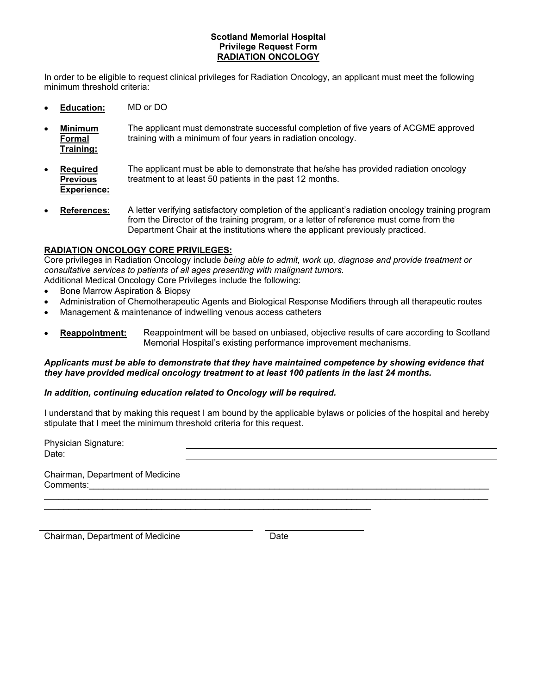#### **Scotland Memorial Hospital Privilege Request Form RADIATION ONCOLOGY**

In order to be eligible to request clinical privileges for Radiation Oncology, an applicant must meet the following minimum threshold criteria:

- **Education:** MD or DO
- **Minimum Formal Training:** The applicant must demonstrate successful completion of five years of ACGME approved training with a minimum of four years in radiation oncology.
- **Required Previous Experience:** The applicant must be able to demonstrate that he/she has provided radiation oncology treatment to at least 50 patients in the past 12 months.
- **References:** A letter verifying satisfactory completion of the applicant's radiation oncology training program from the Director of the training program, or a letter of reference must come from the Department Chair at the institutions where the applicant previously practiced.

# **RADIATION ONCOLOGY CORE PRIVILEGES:**

Core privileges in Radiation Oncology include *being able to admit, work up, diagnose and provide treatment or consultative services to patients of all ages presenting with malignant tumors.* Additional Medical Oncology Core Privileges include the following:

- Bone Marrow Aspiration & Biopsy
- Administration of Chemotherapeutic Agents and Biological Response Modifiers through all therapeutic routes
- Management & maintenance of indwelling venous access catheters
- **Reappointment:** Reappointment will be based on unbiased, objective results of care according to Scotland Memorial Hospital's existing performance improvement mechanisms.

### *Applicants must be able to demonstrate that they have maintained competence by showing evidence that they have provided medical oncology treatment to at least 100 patients in the last 24 months.*

### *In addition, continuing education related to Oncology will be required.*

\_\_\_\_\_\_\_\_\_\_\_\_\_\_\_\_\_\_\_\_\_\_\_\_\_\_\_\_\_\_\_\_\_\_\_\_\_\_\_\_\_\_\_\_\_\_\_\_\_\_\_\_\_\_\_\_\_\_\_\_\_\_\_\_\_\_\_

I understand that by making this request I am bound by the applicable bylaws or policies of the hospital and hereby stipulate that I meet the minimum threshold criteria for this request.

\_\_\_\_\_\_\_\_\_\_\_\_\_\_\_\_\_\_\_\_\_\_\_\_\_\_\_\_\_\_\_\_\_\_\_\_\_\_\_\_\_\_\_\_\_\_\_\_\_\_\_\_\_\_\_\_\_\_\_\_\_\_\_\_\_\_\_\_\_\_\_\_\_\_\_\_\_\_\_\_\_\_\_\_\_\_\_\_\_\_\_

Physician Signature: Date: Chairman, Department of Medicine

Comments:

Chairman, Department of Medicine **Date** Date